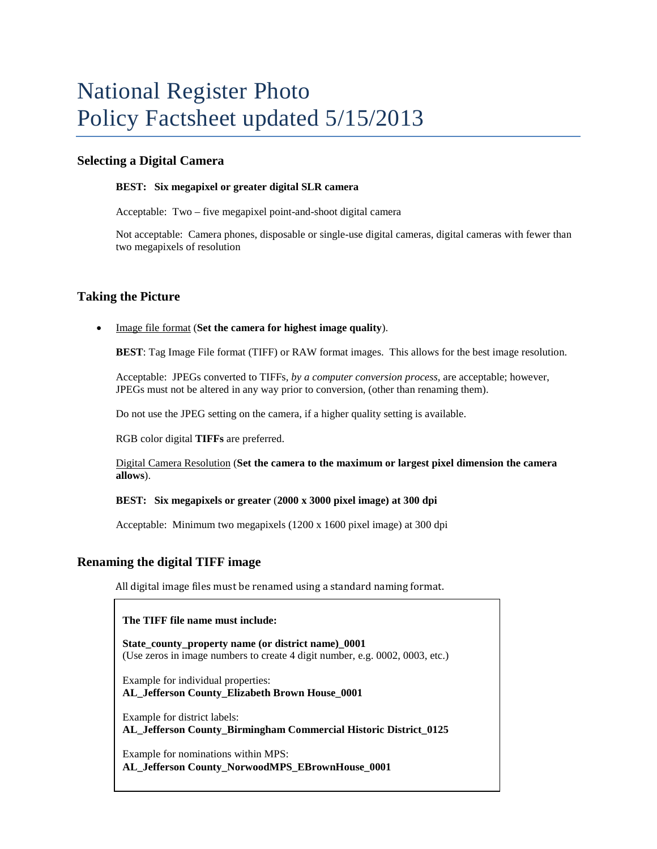## **Selecting a Digital Camera**

#### **BEST: Six megapixel or greater digital SLR camera**

Acceptable: Two – five megapixel point-and-shoot digital camera

Not acceptable: Camera phones, disposable or single-use digital cameras, digital cameras with fewer than two megapixels of resolution

### **Taking the Picture**

• Image file format (**Set the camera for highest image quality**).

**BEST**: Tag Image File format (TIFF) or RAW format images. This allows for the best image resolution.

Acceptable: JPEGs converted to TIFFs, *by a computer conversion process,* are acceptable; however, JPEGs must not be altered in any way prior to conversion, (other than renaming them).

Do not use the JPEG setting on the camera, if a higher quality setting is available.

RGB color digital **TIFFs** are preferred.

Digital Camera Resolution (**Set the camera to the maximum or largest pixel dimension the camera allows**).

#### **BEST: Six megapixels or greater** (**2000 x 3000 pixel image) at 300 dpi**

Acceptable:Minimum two megapixels (1200 x 1600 pixel image) at 300 dpi

### **Renaming the digital TIFF image**

All digital image files must be renamed using a standard naming format.

#### **The TIFF file name must include:**

**State\_county\_property name (or district name)\_0001** (Use zeros in image numbers to create 4 digit number, e.g. 0002, 0003, etc.)

Example for individual properties: **AL\_Jefferson County\_Elizabeth Brown House\_0001**

Example for district labels: **AL\_Jefferson County\_Birmingham Commercial Historic District\_0125**

Example for nominations within MPS: **AL\_Jefferson County\_NorwoodMPS\_EBrownHouse\_0001**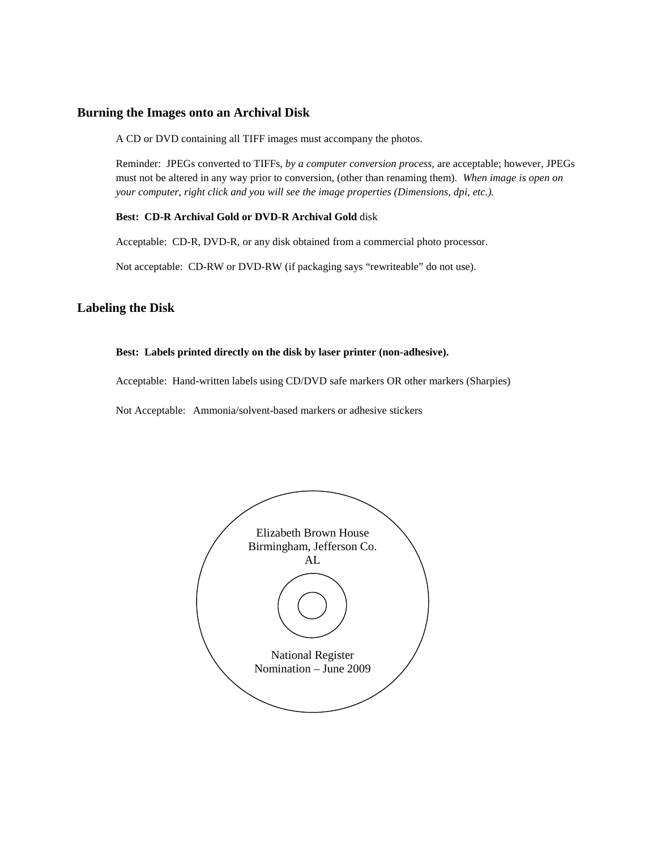## **Burning the Images onto an Archival Disk**

A CD or DVD containing all TIFF images must accompany the photos.

Reminder: JPEGs converted to TIFFs, *by a computer conversion process,* are acceptable; however, JPEGs must not be altered in any way prior to conversion, (other than renaming them). *When image is open on your computer, right click and you will see the image properties (Dimensions, dpi, etc.).*

#### **Best: CD-R Archival Gold or DVD-R Archival Gold** disk

Acceptable: CD-R, DVD-R, or any disk obtained from a commercial photo processor.

Not acceptable: CD-RW or DVD-RW (if packaging says "rewriteable" do not use).

# **Labeling the Disk**

### **Best: Labels printed directly on the disk by laser printer (non-adhesive).**

Acceptable: Hand-written labels using CD/DVD safe markers OR other markers (Sharpies)

Not Acceptable: Ammonia/solvent-based markers or adhesive stickers

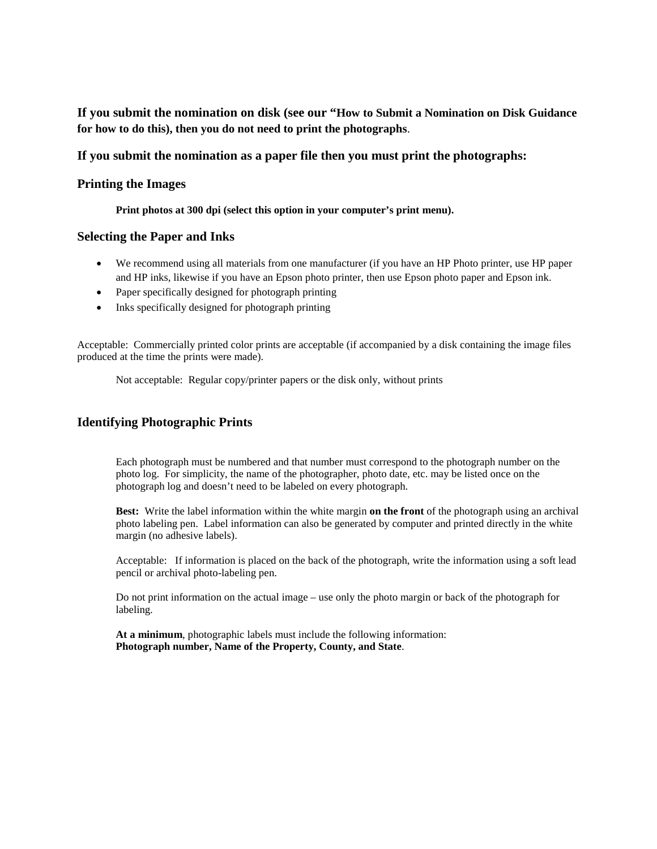**If you submit the nomination on disk (see our "How to Submit a Nomination on Disk Guidance for how to do this), then you do not need to print the photographs**.

## **If you submit the nomination as a paper file then you must print the photographs:**

## **Printing the Images**

**Print photos at 300 dpi (select this option in your computer's print menu).**

## **Selecting the Paper and Inks**

- We recommend using all materials from one manufacturer (if you have an HP Photo printer, use HP paper and HP inks, likewise if you have an Epson photo printer, then use Epson photo paper and Epson ink.
- Paper specifically designed for photograph printing
- Inks specifically designed for photograph printing

Acceptable: Commercially printed color prints are acceptable (if accompanied by a disk containing the image files produced at the time the prints were made).

Not acceptable: Regular copy/printer papers or the disk only, without prints

## **Identifying Photographic Prints**

Each photograph must be numbered and that number must correspond to the photograph number on the photo log. For simplicity, the name of the photographer, photo date, etc. may be listed once on the photograph log and doesn't need to be labeled on every photograph.

**Best:** Write the label information within the white margin **on the front** of the photograph using an archival photo labeling pen. Label information can also be generated by computer and printed directly in the white margin (no adhesive labels).

Acceptable: If information is placed on the back of the photograph, write the information using a soft lead pencil or archival photo-labeling pen.

Do not print information on the actual image – use only the photo margin or back of the photograph for labeling.

**At a minimum**, photographic labels must include the following information: **Photograph number, Name of the Property, County, and State**.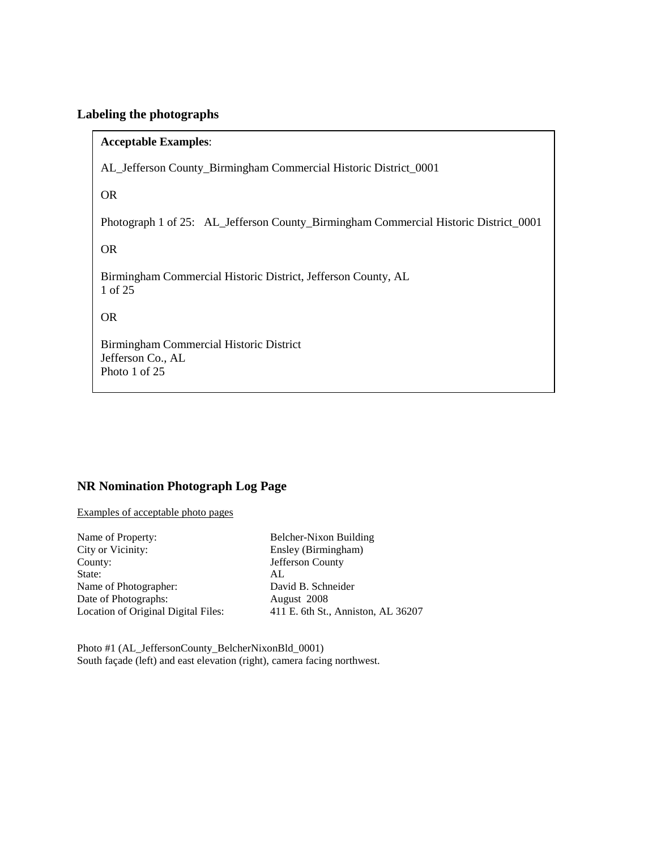# **Labeling the photographs**

## **Acceptable Examples**:

AL\_Jefferson County\_Birmingham Commercial Historic District\_0001

OR

Photograph 1 of 25: AL\_Jefferson County\_Birmingham Commercial Historic District\_0001

OR

Birmingham Commercial Historic District, Jefferson County, AL 1 of 25

OR

Birmingham Commercial Historic District Jefferson Co., AL Photo 1 of 25

# **NR Nomination Photograph Log Page**

Examples of acceptable photo pages

| Name of Property:                   | <b>Bel</b> |
|-------------------------------------|------------|
| City or Vicinity:                   | Ens        |
| County:                             | Jef        |
| State:                              | AL         |
| Name of Photographer:               | Da         |
| Date of Photographs:                | Au         |
| Location of Original Digital Files: | 411        |
|                                     |            |

Belcher-Nixon Building Ensley (Birmingham) Jefferson County David B. Schneider August 2008 411 E. 6th St., Anniston, AL 36207

Photo #1 (AL\_JeffersonCounty\_BelcherNixonBld\_0001) South façade (left) and east elevation (right), camera facing northwest.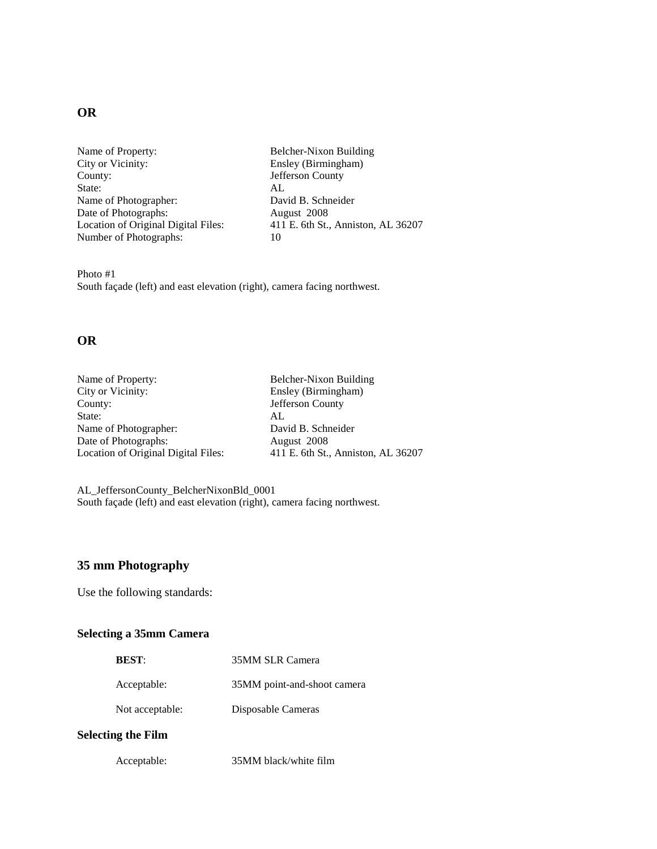# **OR**

Name of Property: Belcher-Nixon Building City or Vicinity: Ensley (Birmingham) County: Jefferson County<br>State: AL State: Name of Photographer: David B. Schneider Date of Photographs: August 2008<br>Location of Original Digital Files: 411 E. 6th St. Number of Photographs: 10

411 E. 6th St., Anniston, AL 36207

Photo #1 South façade (left) and east elevation (right), camera facing northwest.

## **OR**

| Name of Property:                   | Belcher-Nixon Building             |
|-------------------------------------|------------------------------------|
| City or Vicinity:                   | Ensley (Birmingham)                |
| County:                             | Jefferson County                   |
| State:                              | AL                                 |
| Name of Photographer:               | David B. Schneider                 |
| Date of Photographs:                | August 2008                        |
| Location of Original Digital Files: | 411 E. 6th St., Anniston, AL 36207 |
|                                     |                                    |

AL\_JeffersonCounty\_BelcherNixonBld\_0001 South façade (left) and east elevation (right), camera facing northwest.

## **35 mm Photography**

Use the following standards:

# **Selecting a 35mm Camera**

| <b>BEST:</b>    | 35MM SLR Camera             |
|-----------------|-----------------------------|
| Acceptable:     | 35MM point-and-shoot camera |
| Not acceptable: | Disposable Cameras          |
|                 |                             |

## **Selecting the Film**

| Acceptable: | 35MM black/white film |
|-------------|-----------------------|
|-------------|-----------------------|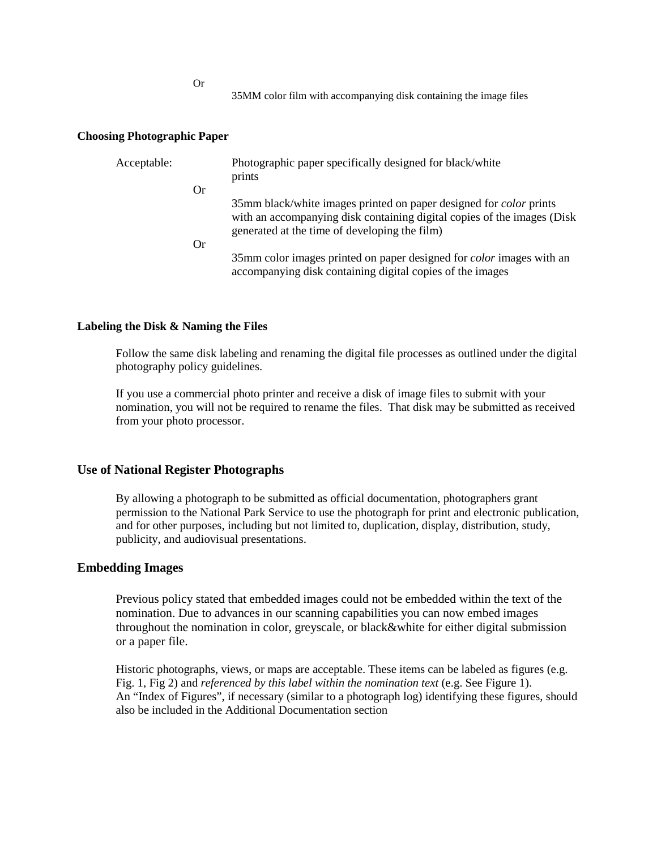Or

35MM color film with accompanying disk containing the image files

### **Choosing Photographic Paper**

| Acceptable: |           | Photographic paper specifically designed for black/white<br>prints                                                                                                                                    |
|-------------|-----------|-------------------------------------------------------------------------------------------------------------------------------------------------------------------------------------------------------|
|             | <b>Or</b> |                                                                                                                                                                                                       |
|             |           | 35mm black/white images printed on paper designed for <i>color</i> prints<br>with an accompanying disk containing digital copies of the images (Disk<br>generated at the time of developing the film) |
|             | <b>Or</b> |                                                                                                                                                                                                       |
|             |           | 35mm color images printed on paper designed for <i>color</i> images with an<br>accompanying disk containing digital copies of the images                                                              |

### **Labeling the Disk & Naming the Files**

Follow the same disk labeling and renaming the digital file processes as outlined under the digital photography policy guidelines.

If you use a commercial photo printer and receive a disk of image files to submit with your nomination, you will not be required to rename the files. That disk may be submitted as received from your photo processor.

### **Use of National Register Photographs**

By allowing a photograph to be submitted as official documentation, photographers grant permission to the National Park Service to use the photograph for print and electronic publication, and for other purposes, including but not limited to, duplication, display, distribution, study, publicity, and audiovisual presentations.

## **Embedding Images**

Previous policy stated that embedded images could not be embedded within the text of the nomination. Due to advances in our scanning capabilities you can now embed images throughout the nomination in color, greyscale, or black&white for either digital submission or a paper file.

Historic photographs, views, or maps are acceptable. These items can be labeled as figures (e.g. Fig. 1, Fig 2) and *referenced by this label within the nomination text* (e.g. See Figure 1). An "Index of Figures", if necessary (similar to a photograph log) identifying these figures, should also be included in the Additional Documentation section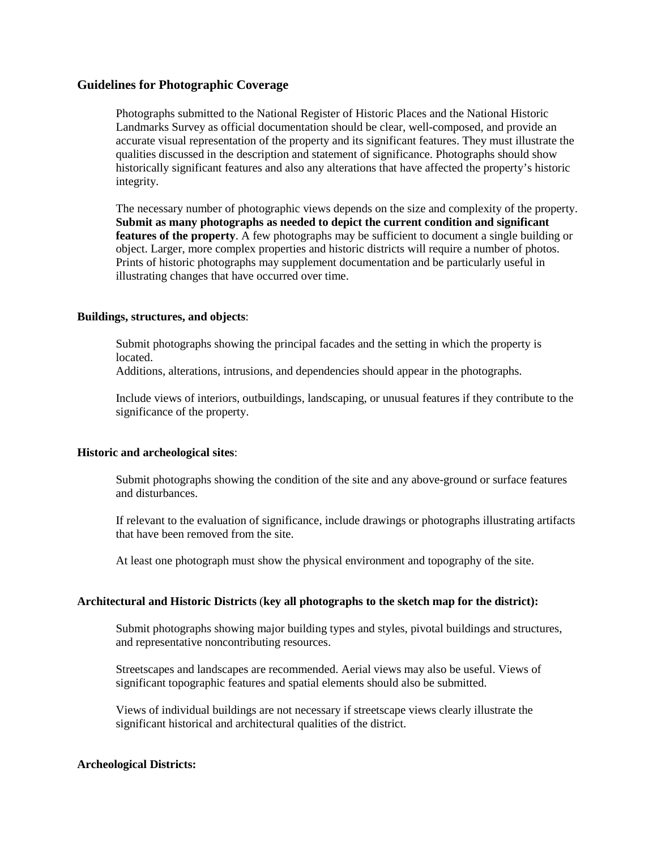## **Guidelines for Photographic Coverage**

Photographs submitted to the National Register of Historic Places and the National Historic Landmarks Survey as official documentation should be clear, well-composed, and provide an accurate visual representation of the property and its significant features. They must illustrate the qualities discussed in the description and statement of significance. Photographs should show historically significant features and also any alterations that have affected the property's historic integrity.

The necessary number of photographic views depends on the size and complexity of the property. **Submit as many photographs as needed to depict the current condition and significant features of the property**. A few photographs may be sufficient to document a single building or object. Larger, more complex properties and historic districts will require a number of photos. Prints of historic photographs may supplement documentation and be particularly useful in illustrating changes that have occurred over time.

### **Buildings, structures, and objects**:

Submit photographs showing the principal facades and the setting in which the property is located.

Additions, alterations, intrusions, and dependencies should appear in the photographs.

Include views of interiors, outbuildings, landscaping, or unusual features if they contribute to the significance of the property.

#### **Historic and archeological sites**:

Submit photographs showing the condition of the site and any above-ground or surface features and disturbances.

If relevant to the evaluation of significance, include drawings or photographs illustrating artifacts that have been removed from the site.

At least one photograph must show the physical environment and topography of the site.

## **Architectural and Historic Districts** (**key all photographs to the sketch map for the district):**

Submit photographs showing major building types and styles, pivotal buildings and structures, and representative noncontributing resources.

Streetscapes and landscapes are recommended. Aerial views may also be useful. Views of significant topographic features and spatial elements should also be submitted.

Views of individual buildings are not necessary if streetscape views clearly illustrate the significant historical and architectural qualities of the district.

#### **Archeological Districts:**